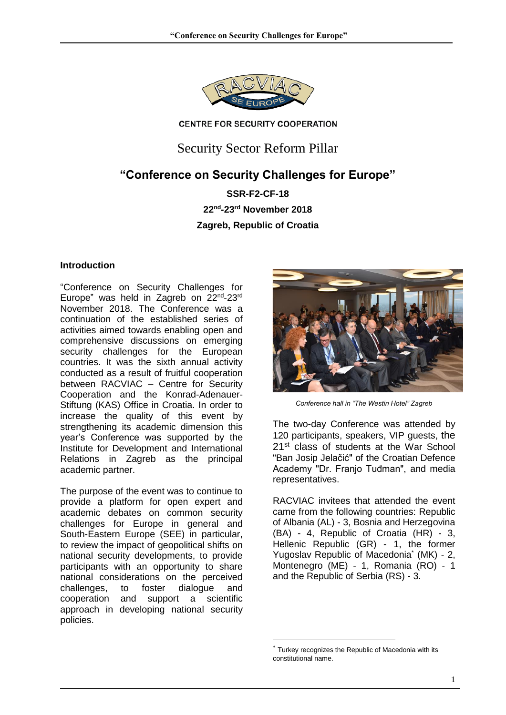

#### **CENTRE FOR SECURITY COOPERATION**

Security Sector Reform Pillar

# **"Conference on Security Challenges for Europe"**

**SSR-F2-CF-18 22nd -23 rd November 2018 Zagreb, Republic of Croatia**

### **Introduction**

"Conference on Security Challenges for Europe" was held in Zagreb on 22<sup>nd</sup>-23<sup>rd</sup> November 2018. The Conference was a continuation of the established series of activities aimed towards enabling open and comprehensive discussions on emerging security challenges for the European countries. It was the sixth annual activity conducted as a result of fruitful cooperation between RACVIAC – Centre for Security Cooperation and the Konrad-Adenauer-Stiftung (KAS) Office in Croatia. In order to increase the quality of this event by strengthening its academic dimension this year's Conference was supported by the Institute for Development and International Relations in Zagreb as the principal academic partner.

The purpose of the event was to continue to provide a platform for open expert and academic debates on common security challenges for Europe in general and South-Eastern Europe (SEE) in particular, to review the impact of geopolitical shifts on national security developments, to provide participants with an opportunity to share national considerations on the perceived challenges, to foster dialogue and cooperation and support a scientific approach in developing national security policies.



 *Conference hall in "The Westin Hotel" Zagreb*

The two-day Conference was attended by 120 participants, speakers, VIP guests, the 21<sup>st</sup> class of students at the War School "Ban Josip Jelačić" of the Croatian Defence Academy "Dr. Franjo Tuđman", and media representatives.

RACVIAC invitees that attended the event came from the following countries: Republic of Albania (AL) - 3, Bosnia and Herzegovina (BA) - 4, Republic of Croatia (HR) - 3, Hellenic Republic (GR) - 1, the former Yugoslav Republic of Macedonia<sup>\*</sup> (MK) - 2, Montenegro (ME) - 1, Romania (RO) - 1 and the Republic of Serbia (RS) - 3.

1

Turkey recognizes the Republic of Macedonia with its constitutional name.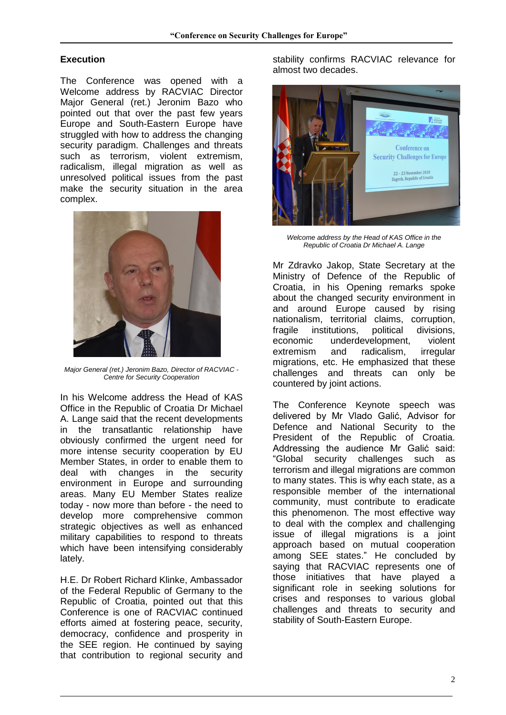## **Execution**

The Conference was opened with a Welcome address by RACVIAC Director Major General (ret.) Jeronim Bazo who pointed out that over the past few years Europe and South-Eastern Europe have struggled with how to address the changing security paradigm. Challenges and threats such as terrorism, violent extremism, radicalism, illegal migration as well as unresolved political issues from the past make the security situation in the area complex.



*Major General (ret.) Jeronim Bazo, Director of RACVIAC - Centre for Security Cooperation*

In his Welcome address the Head of KAS Office in the Republic of Croatia Dr Michael A. Lange said that the recent developments in the transatlantic relationship have obviously confirmed the urgent need for more intense security cooperation by EU Member States, in order to enable them to deal with changes in the security environment in Europe and surrounding areas. Many EU Member States realize today - now more than before - the need to develop more comprehensive common strategic objectives as well as enhanced military capabilities to respond to threats which have been intensifying considerably lately.

H.E. Dr Robert Richard Klinke, Ambassador of the Federal Republic of Germany to the Republic of Croatia, pointed out that this Conference is one of RACVIAC continued efforts aimed at fostering peace, security, democracy, confidence and prosperity in the SEE region. He continued by saying that contribution to regional security and stability confirms RACVIAC relevance for almost two decades.



*Welcome address by the Head of KAS Office in the Republic of Croatia Dr Michael A. Lange*

Mr Zdravko Jakop, State Secretary at the Ministry of Defence of the Republic of Croatia, in his Opening remarks spoke about the changed security environment in and around Europe caused by rising nationalism, territorial claims, corruption,<br>fragile institutions, political divisions. fragile institutions, political divisions, economic underdevelopment, violent extremism and radicalism, irregular migrations, etc. He emphasized that these challenges and threats can only be countered by joint actions.

The Conference Keynote speech was delivered by Mr Vlado Galić, Advisor for Defence and National Security to the President of the Republic of Croatia. Addressing the audience Mr Galić said: "Global security challenges such as terrorism and illegal migrations are common to many states. This is why each state, as a responsible member of the international community, must contribute to eradicate this phenomenon. The most effective way to deal with the complex and challenging issue of illegal migrations is a joint approach based on mutual cooperation among SEE states." He concluded by saying that RACVIAC represents one of those initiatives that have played a significant role in seeking solutions for crises and responses to various global challenges and threats to security and stability of South-Eastern Europe.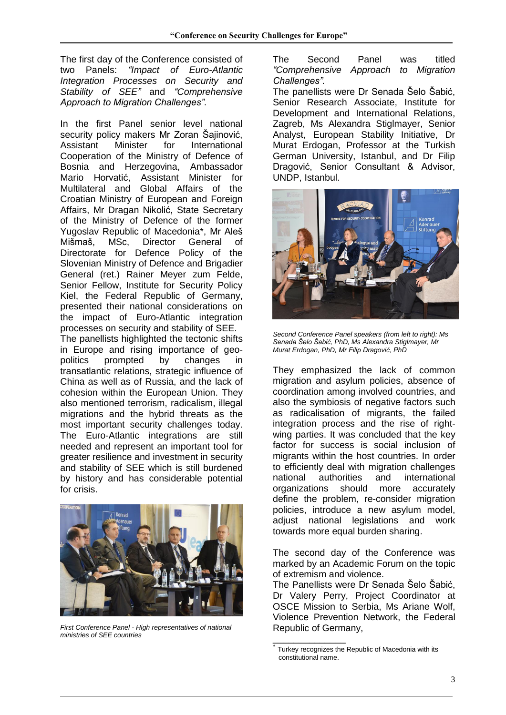The first day of the Conference consisted of two Panels: *"Impact of Euro-Atlantic Integration Processes on Security and Stability of SEE"* and *"Comprehensive Approach to Migration Challenges"*.

In the first Panel senior level national security policy makers Mr Zoran Šajinović, Assistant Minister for International Cooperation of the Ministry of Defence of Bosnia and Herzegovina, Ambassador Mario Horvatić, Assistant Minister for Multilateral and Global Affairs of the Croatian Ministry of European and Foreign Affairs, Mr Dragan Nikolić, State Secretary of the Ministry of Defence of the former Yugoslav Republic of Macedonia\*, Mr Aleš Mišmaš, MSc, Director General of Directorate for Defence Policy of the Slovenian Ministry of Defence and Brigadier General (ret.) Rainer Meyer zum Felde, Senior Fellow, Institute for Security Policy Kiel, the Federal Republic of Germany, presented their national considerations on the impact of Euro-Atlantic integration processes on security and stability of SEE. The panellists highlighted the tectonic shifts

in Europe and rising importance of geopolitics prompted by changes in transatlantic relations, strategic influence of China as well as of Russia, and the lack of cohesion within the European Union. They also mentioned terrorism, radicalism, illegal migrations and the hybrid threats as the most important security challenges today. The Euro-Atlantic integrations are still needed and represent an important tool for greater resilience and investment in security and stability of SEE which is still burdened by history and has considerable potential for crisis.



*First Conference Panel - High representatives of national ministries of SEE countries*

The Second Panel was titled *"Comprehensive Approach to Migration Challenges".*

The panellists were Dr Senada Šelo Šabić, Senior Research Associate, Institute for Development and International Relations, Zagreb, Ms Alexandra Stiglmayer, Senior Analyst, European Stability Initiative, Dr Murat Erdogan, Professor at the Turkish German University, Istanbul, and Dr Filip Dragović, Senior Consultant & Advisor, UNDP, Istanbul.



*Second Conference Panel speakers (from left to right): Ms Senada Šelo Šabić, PhD, Ms Alexandra Stiglmayer, Mr Murat Erdogan, PhD, Mr Filip Dragović, PhD*

They emphasized the lack of common migration and asylum policies, absence of coordination among involved countries, and also the symbiosis of negative factors such as radicalisation of migrants, the failed integration process and the rise of rightwing parties. It was concluded that the key factor for success is social inclusion of migrants within the host countries. In order to efficiently deal with migration challenges national authorities and international organizations should more accurately define the problem, re-consider migration policies, introduce a new asylum model, adjust national legislations and work towards more equal burden sharing.

The second day of the Conference was marked by an Academic Forum on the topic of extremism and violence.

The Panellists were Dr Senada Šelo Šabić, Dr Valery Perry, Project Coordinator at OSCE Mission to Serbia, Ms Ariane Wolf, Violence Prevention Network, the Federal Republic of Germany,

\_\_\_\_\_\_\_\_\_\_\_\_\_\_

Turkey recognizes the Republic of Macedonia with its constitutional name.